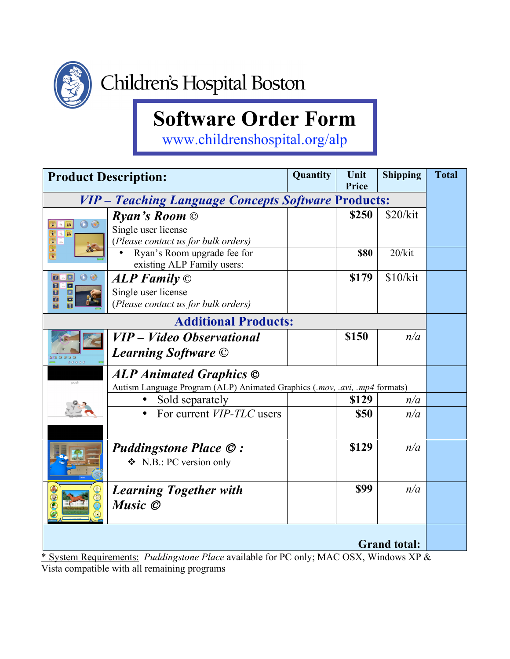

## **Software Order Form**

www.childrenshospital.org/alp

| <b>Product Description:</b>                                                            |                                                                            | Quantity | Unit<br>Price | <b>Shipping</b> | <b>Total</b> |  |
|----------------------------------------------------------------------------------------|----------------------------------------------------------------------------|----------|---------------|-----------------|--------------|--|
| <b>VIP</b> – Teaching Language Concepts Software Products:                             |                                                                            |          |               |                 |              |  |
|                                                                                        | <b>Ryan's Room</b> $\odot$                                                 |          | \$250         | \$20/kit        |              |  |
| O                                                                                      | Single user license                                                        |          |               |                 |              |  |
|                                                                                        | (Please contact us for bulk orders)                                        |          |               |                 |              |  |
|                                                                                        | Ryan's Room upgrade fee for                                                |          | <b>\$80</b>   | 20/kit          |              |  |
|                                                                                        | existing ALP Family users:                                                 |          |               |                 |              |  |
| $\odot$<br>$\overline{\blacksquare}$<br>$\mathbf{E}$<br>$\blacksquare$                 | $ALP$ Family $\odot$                                                       |          | \$179         | \$10/kit        |              |  |
| $\blacksquare$<br>M                                                                    | Single user license                                                        |          |               |                 |              |  |
|                                                                                        | (Please contact us for bulk orders)                                        |          |               |                 |              |  |
|                                                                                        | <b>Additional Products:</b>                                                |          |               |                 |              |  |
|                                                                                        | VIP – Video Observational                                                  |          | \$150         | n/a             |              |  |
| 00000                                                                                  | <b>Learning Software</b> ©                                                 |          |               |                 |              |  |
| <b>ALP Animated Graphics ©</b>                                                         |                                                                            |          |               |                 |              |  |
|                                                                                        | Autism Language Program (ALP) Animated Graphics (.mov, .avi, .mp4 formats) |          |               |                 |              |  |
|                                                                                        | Sold separately                                                            |          | \$129         | n/a             |              |  |
|                                                                                        | For current <i>VIP-TLC</i> users<br>$\bullet$                              |          | \$50          | n/a             |              |  |
|                                                                                        |                                                                            |          |               |                 |              |  |
|                                                                                        | <b>Puddingstone Place ©:</b>                                               |          | \$129         | n/a             |              |  |
|                                                                                        | $\bullet$ N.B.: PC version only                                            |          |               |                 |              |  |
|                                                                                        | <b>Learning Together with</b>                                              |          | <b>\$99</b>   | n/a             |              |  |
|                                                                                        | Music ©                                                                    |          |               |                 |              |  |
|                                                                                        |                                                                            |          |               |                 |              |  |
| <b>Grand total:</b>                                                                    |                                                                            |          |               |                 |              |  |
| * System Requirements: Puddingstone Place available for PC only; MAC OSX, Windows XP & |                                                                            |          |               |                 |              |  |

Vista compatible with all remaining programs